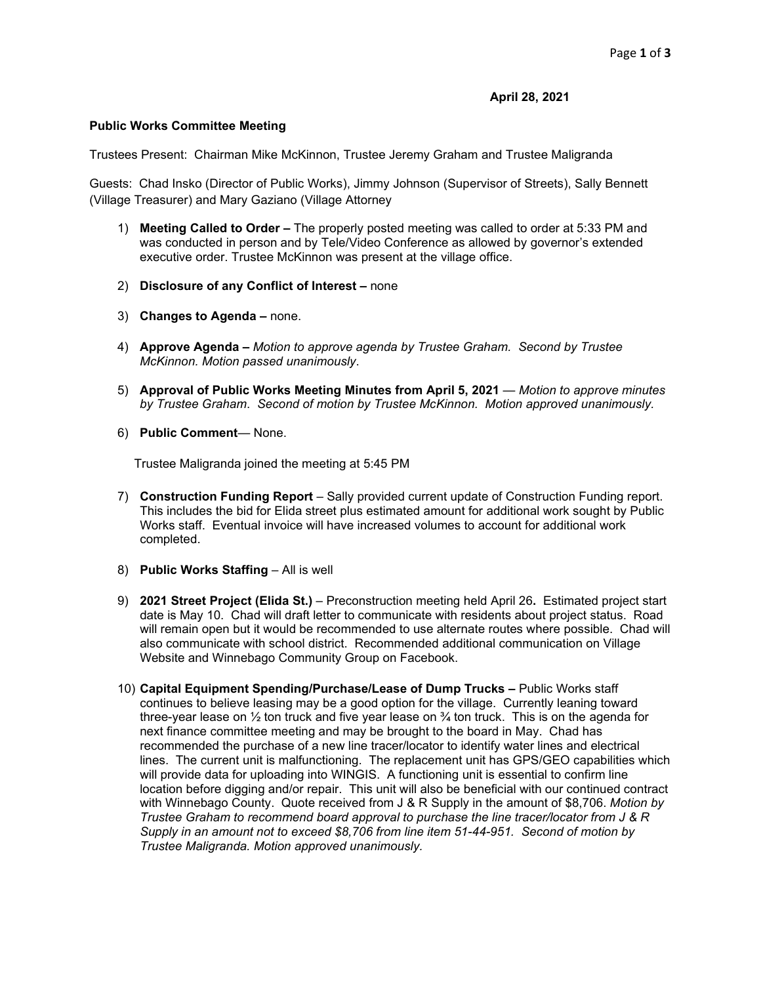## **April 28, 2021**

## **Public Works Committee Meeting**

Trustees Present: Chairman Mike McKinnon, Trustee Jeremy Graham and Trustee Maligranda

Guests: Chad Insko (Director of Public Works), Jimmy Johnson (Supervisor of Streets), Sally Bennett (Village Treasurer) and Mary Gaziano (Village Attorney

- 1) **Meeting Called to Order –** The properly posted meeting was called to order at 5:33 PM and was conducted in person and by Tele/Video Conference as allowed by governor's extended executive order. Trustee McKinnon was present at the village office.
- 2) **Disclosure of any Conflict of Interest –** none
- 3) **Changes to Agenda –** none.
- 4) **Approve Agenda –** *Motion to approve agenda by Trustee Graham. Second by Trustee McKinnon. Motion passed unanimously*.
- 5) **Approval of Public Works Meeting Minutes from April 5, 2021** *Motion to approve minutes by Trustee Graham*. *Second of motion by Trustee McKinnon. Motion approved unanimously.*
- 6) **Public Comment** None.

Trustee Maligranda joined the meeting at 5:45 PM

- 7) **Construction Funding Report** Sally provided current update of Construction Funding report. This includes the bid for Elida street plus estimated amount for additional work sought by Public Works staff. Eventual invoice will have increased volumes to account for additional work completed.
- 8) **Public Works Staffing** All is well
- 9) **2021 Street Project (Elida St.)** Preconstruction meeting held April 26**.** Estimated project start date is May 10. Chad will draft letter to communicate with residents about project status. Road will remain open but it would be recommended to use alternate routes where possible. Chad will also communicate with school district. Recommended additional communication on Village Website and Winnebago Community Group on Facebook.
- 10) **Capital Equipment Spending/Purchase/Lease of Dump Trucks –** Public Works staff continues to believe leasing may be a good option for the village. Currently leaning toward three-year lease on  $\frac{1}{2}$  ton truck and five year lease on  $\frac{3}{4}$  ton truck. This is on the agenda for next finance committee meeting and may be brought to the board in May. Chad has recommended the purchase of a new line tracer/locator to identify water lines and electrical lines. The current unit is malfunctioning. The replacement unit has GPS/GEO capabilities which will provide data for uploading into WINGIS. A functioning unit is essential to confirm line location before digging and/or repair. This unit will also be beneficial with our continued contract with Winnebago County. Quote received from J & R Supply in the amount of \$8,706. *Motion by Trustee Graham to recommend board approval to purchase the line tracer/locator from J & R Supply in an amount not to exceed \$8,706 from line item 51-44-951. Second of motion by Trustee Maligranda. Motion approved unanimously.*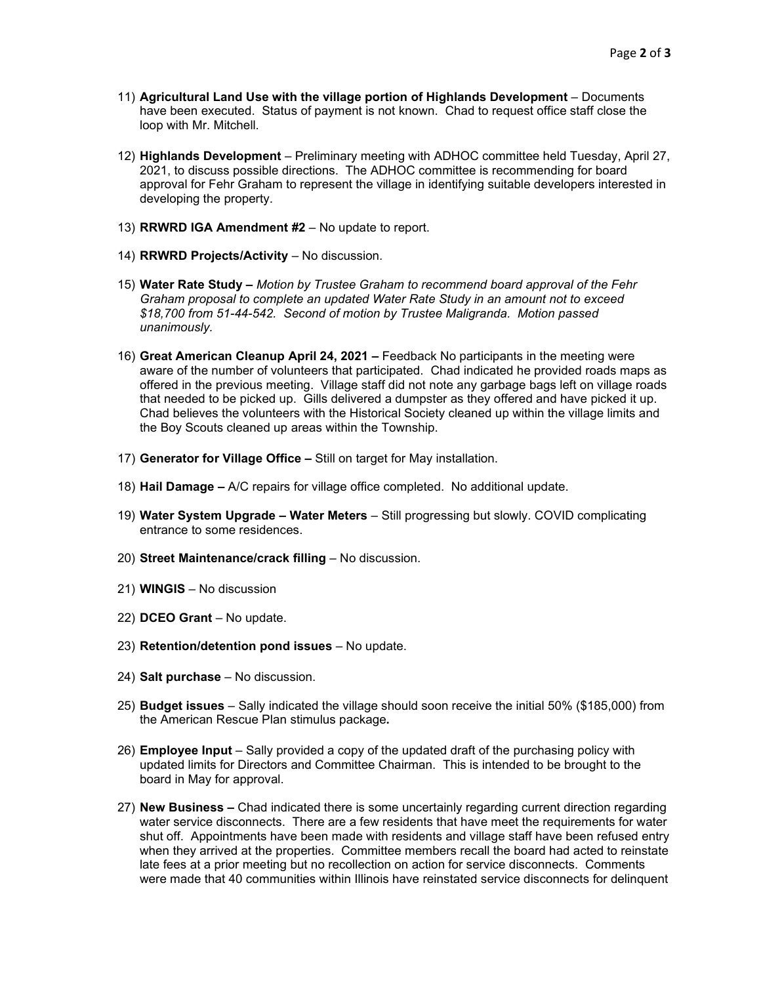- 11) **Agricultural Land Use with the village portion of Highlands Development** Documents have been executed. Status of payment is not known. Chad to request office staff close the loop with Mr. Mitchell.
- 12) **Highlands Development** Preliminary meeting with ADHOC committee held Tuesday, April 27, 2021, to discuss possible directions. The ADHOC committee is recommending for board approval for Fehr Graham to represent the village in identifying suitable developers interested in developing the property.
- 13) **RRWRD IGA Amendment #2**  No update to report.
- 14) **RRWRD Projects/Activity** No discussion.
- 15) **Water Rate Study –** *Motion by Trustee Graham to recommend board approval of the Fehr Graham proposal to complete an updated Water Rate Study in an amount not to exceed \$18,700 from 51-44-542. Second of motion by Trustee Maligranda. Motion passed unanimously.*
- 16) **Great American Cleanup April 24, 2021 –** Feedback No participants in the meeting were aware of the number of volunteers that participated. Chad indicated he provided roads maps as offered in the previous meeting. Village staff did not note any garbage bags left on village roads that needed to be picked up. Gills delivered a dumpster as they offered and have picked it up. Chad believes the volunteers with the Historical Society cleaned up within the village limits and the Boy Scouts cleaned up areas within the Township.
- 17) **Generator for Village Office –** Still on target for May installation.
- 18) **Hail Damage –** A/C repairs for village office completed. No additional update.
- 19) **Water System Upgrade – Water Meters** Still progressing but slowly. COVID complicating entrance to some residences.
- 20) **Street Maintenance/crack filling**  No discussion.
- 21) **WINGIS** No discussion
- 22) **DCEO Grant** No update.
- 23) **Retention/detention pond issues** No update.
- 24) **Salt purchase** No discussion.
- 25) **Budget issues**  Sally indicated the village should soon receive the initial 50% (\$185,000) from the American Rescue Plan stimulus package**.**
- 26) **Employee Input**  Sally provided a copy of the updated draft of the purchasing policy with updated limits for Directors and Committee Chairman. This is intended to be brought to the board in May for approval.
- 27) **New Business –** Chad indicated there is some uncertainly regarding current direction regarding water service disconnects. There are a few residents that have meet the requirements for water shut off. Appointments have been made with residents and village staff have been refused entry when they arrived at the properties. Committee members recall the board had acted to reinstate late fees at a prior meeting but no recollection on action for service disconnects. Comments were made that 40 communities within Illinois have reinstated service disconnects for delinquent